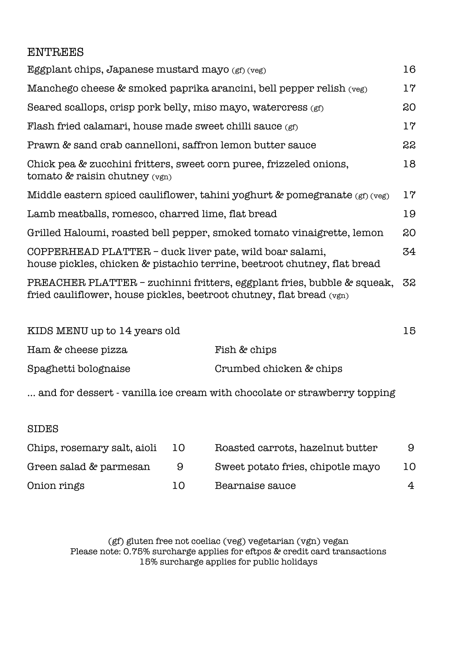## ENTREES

| Eggplant chips, Japanese mustard mayo (gf) (veg)                                                                                               | 16 |
|------------------------------------------------------------------------------------------------------------------------------------------------|----|
| Manchego cheese & smoked paprika arancini, bell pepper relish (veg)                                                                            | 17 |
| Seared scallops, crisp pork belly, miso mayo, watercress (gf)                                                                                  | 20 |
| Flash fried calamari, house made sweet chilli sauce (gf)                                                                                       | 17 |
| Prawn & sand crab cannelloni, saffron lemon butter sauce                                                                                       | 22 |
| Chick pea & zucchini fritters, sweet corn puree, frizzeled onions,<br>tomato & raisin chutney $(vgn)$                                          | 18 |
| Middle eastern spiced cauliflower, tahini yoghurt & pomegranate (gf) (veg)                                                                     | 17 |
| Lamb meatballs, romesco, charred lime, flat bread                                                                                              | 19 |
| Grilled Haloumi, roasted bell pepper, smoked tomato vinaigrette, lemon                                                                         | 20 |
| COPPERHEAD PLATTER - duck liver pate, wild boar salami,<br>house pickles, chicken & pistachio terrine, beetroot chutney, flat bread            | 34 |
| PREACHER PLATTER - zuchinni fritters, eggplant fries, bubble & squeak,<br>fried cauliflower, house pickles, beetroot chutney, flat bread (vgn) | 32 |
| KIDS MENU up to 14 years old                                                                                                                   | 15 |

| Ham & cheese pizza   | Fish & chips            |
|----------------------|-------------------------|
| Spaghetti bolognaise | Crumbed chicken & chips |

… and for dessert - vanilla ice cream with chocolate or strawberry topping

## SIDES

| Chips, rosemary salt, aioli | 10 | Roasted carrots, hazelnut butter  | 9  |
|-----------------------------|----|-----------------------------------|----|
| Green salad & parmesan      | -9 | Sweet potato fries, chipotle mayo | 10 |
| Onion rings                 | 10 | Bearnaise sauce                   | 4  |

(gf) gluten free not coeliac (veg) vegetarian (vgn) vegan Please note: 0.75% surcharge applies for eftpos & credit card transactions 15% surcharge applies for public holidays